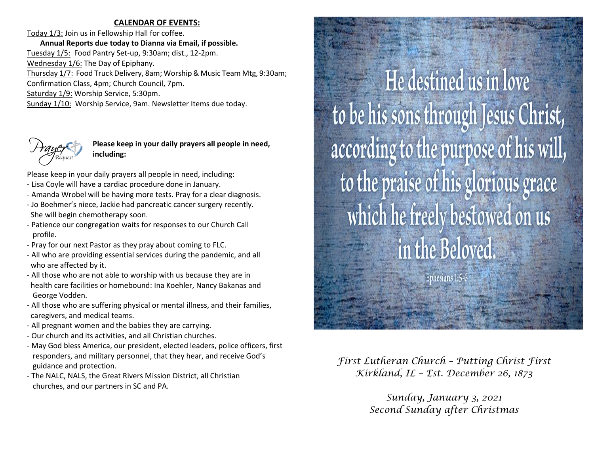### **CALENDAR OF EVENTS:**

Today 1/3: Join us in Fellowship Hall for coffee. **Annual Reports due today to Dianna via Email, if possible.**  Tuesday 1/5: Food Pantry Set-up, 9:30am; dist., 12-2pm. Wednesday  $1/6$ : The Day of Epiphany. Thursday 1/7: Food Truck Delivery, 8am; Worship & Music Team Mtg, 9:30am; Confirmation Class, 4pm; Church Council, 7pm. Saturday 1/9: Worship Service, 5:30pm. Sunday 1/10: Worship Service, 9am. Newsletter Items due today.



**Please keep in your daily prayers all people in need, including:**

Please keep in your daily prayers all people in need, including:

- Lisa Coyle will have a cardiac procedure done in January.
- Amanda Wrobel will be having more tests. Pray for a clear diagnosis.
- Jo Boehmer's niece, Jackie had pancreatic cancer surgery recently. She will begin chemotherapy soon.
- Patience our congregation waits for responses to our Church Call profile.
- Pray for our next Pastor as they pray about coming to FLC.
- All who are providing essential services during the pandemic, and all who are affected by it.
- All those who are not able to worship with us because they are in health care facilities or homebound: Ina Koehler, Nancy Bakanas and George Vodden.
- All those who are suffering physical or mental illness, and their families, caregivers, and medical teams.
- All pregnant women and the babies they are carrying.
- Our church and its activities, and all Christian churches.
- May God bless America, our president, elected leaders, police officers, first responders, and military personnel, that they hear, and receive God's guidance and protection.
- The NALC, NALS, the Great Rivers Mission District, all Christian churches, and our partners in SC and PA.

He destined us in love to be his sons through Jesus Christ, according to the purpose of his will, to the praise of his glorious grace which he freely bestowed on us in the Beloved.

Ephesians 1:5

*First Lutheran Church – Putting Christ First Kirkland, IL – Est. December 26, 1873*

> *Sunday, January 3, 2021 Second Sunday after Christmas*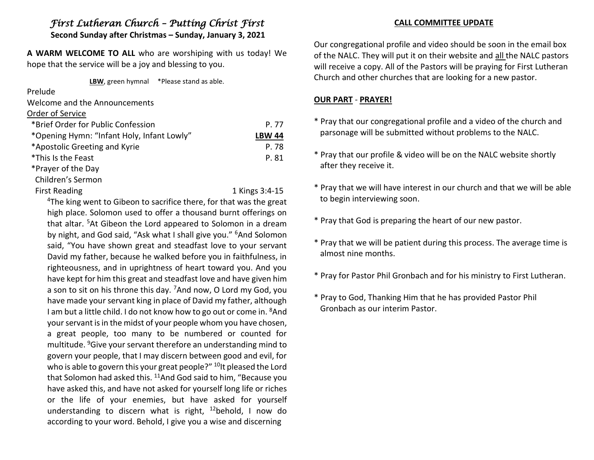# *First Lutheran Church – Putting Christ First*

**Second Sunday after Christmas – Sunday, January 3, 2021**

**A WARM WELCOME TO ALL** who are worshiping with us today! We hope that the service will be a joy and blessing to you.

**LBW**, green hymnal \*Please stand as able.

Prelude

Welcome and the Announcements

# Order of Service

| *Brief Order for Public Confession         | P. 77         |
|--------------------------------------------|---------------|
| *Opening Hymn: "Infant Holy, Infant Lowly" | <b>LBW 44</b> |
| *Apostolic Greeting and Kyrie              | P. 78         |
| *This Is the Feast                         | P. 81         |
| *Prayer of the Day                         |               |

Children's Sermon

First Reading 1 Kings 3:4-15

<sup>4</sup>The king went to Gibeon to sacrifice there, for that was the great high place. Solomon used to offer a thousand burnt offerings on that altar. <sup>5</sup>At Gibeon the Lord appeared to Solomon in a dream by night, and God said, "Ask what I shall give you." <sup>6</sup>And Solomon said, "You have shown great and steadfast love to your servant David my father, because he walked before you in faithfulness, in righteousness, and in uprightness of heart toward you. And you have kept for him this great and steadfast love and have given him a son to sit on his throne this day. <sup>7</sup>And now, O Lord my God, you have made your servant king in place of David my father, although I am but a little child. I do not know how to go out or come in. <sup>8</sup>And your servant is in the midst of your people whom you have chosen, a great people, too many to be numbered or counted for multitude. <sup>9</sup>Give your servant therefore an understanding mind to govern your people, that I may discern between good and evil, for who is able to govern this your great people?" <sup>10</sup>It pleased the Lord that Solomon had asked this. <sup>11</sup>And God said to him, "Because you have asked this, and have not asked for yourself long life or riches or the life of your enemies, but have asked for yourself understanding to discern what is right,  $12$ behold, I now do according to your word. Behold, I give you a wise and discerning

# **CALL COMMITTEE UPDATE**

Our congregational profile and video should be soon in the email box of the NALC. They will put it on their website and all the NALC pastors will receive a copy. All of the Pastors will be praying for First Lutheran Church and other churches that are looking for a new pastor.

# **OUR PART** - **PRAYER!**

- \* Pray that our congregational profile and a video of the church and parsonage will be submitted without problems to the NALC.
- \* Pray that our profile & video will be on the NALC website shortly after they receive it.
- \* Pray that we will have interest in our church and that we will be able to begin interviewing soon.
- \* Pray that God is preparing the heart of our new pastor.
- \* Pray that we will be patient during this process. The average time is almost nine months.
- \* Pray for Pastor Phil Gronbach and for his ministry to First Lutheran.
- \* Pray to God, Thanking Him that he has provided Pastor Phil Gronbach as our interim Pastor.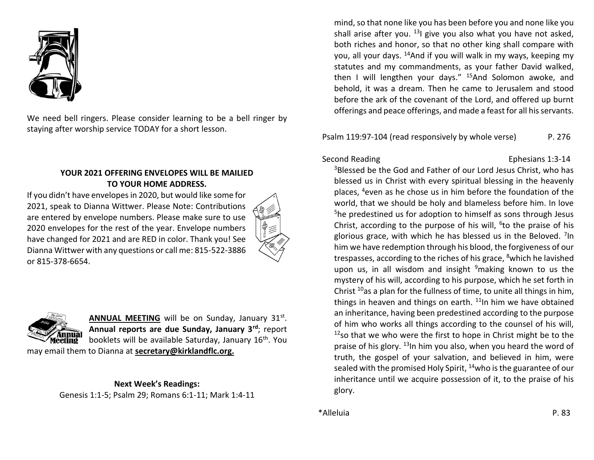

We need bell ringers. Please consider learning to be a bell ringer by staying after worship service TODAY for a short lesson.

# **YOUR 2021 OFFERING ENVELOPES WILL BE MAILIED TO YOUR HOME ADDRESS.**

If you didn't have envelopes in 2020, but would like some for 2021, speak to Dianna Wittwer. Please Note: Contributions are entered by envelope numbers. Please make sure to use 2020 envelopes for the rest of the year. Envelope numbers have changed for 2021 and are RED in color. Thank you! See Dianna Wittwer with any questions or call me: 815-522-3886 or 815-378-6654.





ANNUAL MEETING will be on Sunday, January 31st. **Annual reports are due Sunday, January 3rd**; report booklets will be available Saturday, January 16<sup>th</sup>. You

may email them to Dianna at **secretary@kirklandflc.org.**

# **Next Week's Readings:**

Genesis 1:1-5; Psalm 29; Romans 6:1-11; Mark 1:4-11

mind, so that none like you has been before you and none like you shall arise after you.  $^{13}$ I give you also what you have not asked. both riches and honor, so that no other king shall compare with you, all your days. <sup>14</sup>And if you will walk in my ways, keeping my statutes and my commandments, as your father David walked, then I will lengthen your days."  $15$ And Solomon awoke, and behold, it was a dream. Then he came to Jerusalem and stood before the ark of the covenant of the Lord, and offered up burnt offerings and peace offerings, and made a feast for all his servants.

Psalm 119:97-104 (read responsively by whole verse) P. 276

# Second Reading Ephesians 1:3-14

<sup>3</sup>Blessed be the God and Father of our Lord Jesus Christ, who has blessed us in Christ with every spiritual blessing in the heavenly places, <sup>4</sup>even as he chose us in him before the foundation of the world, that we should be holy and blameless before him. In love <sup>5</sup>he predestined us for adoption to himself as sons through Jesus Christ, according to the purpose of his will, <sup>6</sup>to the praise of his glorious grace, with which he has blessed us in the Beloved. <sup>7</sup>In him we have redemption through his blood, the forgiveness of our trespasses, according to the riches of his grace, <sup>8</sup>which he lavished upon us, in all wisdom and insight  $9$ making known to us the mystery of his will, according to his purpose, which he set forth in Christ  $10$ as a plan for the fullness of time, to unite all things in him, things in heaven and things on earth.  $11$ In him we have obtained an inheritance, having been predestined according to the purpose of him who works all things according to the counsel of his will,  $12$ so that we who were the first to hope in Christ might be to the praise of his glory.  $13$ In him you also, when you heard the word of truth, the gospel of your salvation, and believed in him, were sealed with the promised Holy Spirit,  $14$ who is the guarantee of our inheritance until we acquire possession of it, to the praise of his glory.